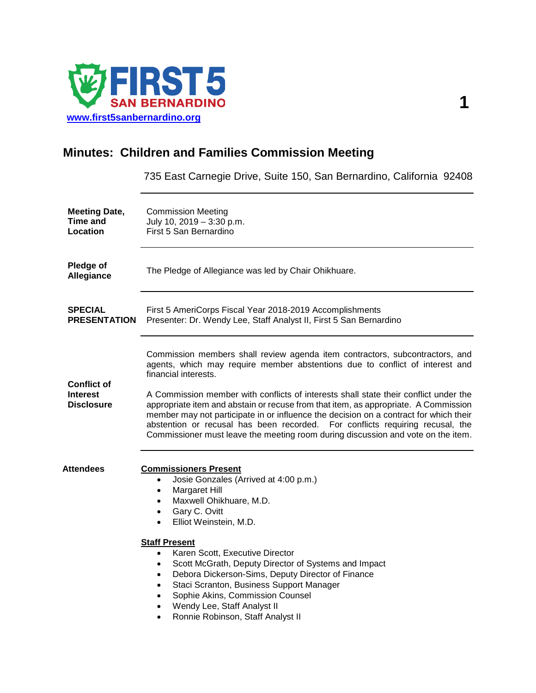

## **Minutes: Children and Families Commission Meeting**

735 East Carnegie Drive, Suite 150, San Bernardino, California 92408

| <b>Meeting Date,</b><br><b>Time and</b><br>Location        | <b>Commission Meeting</b><br>July 10, 2019 - 3:30 p.m.<br>First 5 San Bernardino                                                                                                                                                                                                                                                                                                                                                                                                                                                                                                                                                  |
|------------------------------------------------------------|-----------------------------------------------------------------------------------------------------------------------------------------------------------------------------------------------------------------------------------------------------------------------------------------------------------------------------------------------------------------------------------------------------------------------------------------------------------------------------------------------------------------------------------------------------------------------------------------------------------------------------------|
| Pledge of<br>Allegiance                                    | The Pledge of Allegiance was led by Chair Ohikhuare.                                                                                                                                                                                                                                                                                                                                                                                                                                                                                                                                                                              |
| <b>SPECIAL</b><br><b>PRESENTATION</b>                      | First 5 AmeriCorps Fiscal Year 2018-2019 Accomplishments<br>Presenter: Dr. Wendy Lee, Staff Analyst II, First 5 San Bernardino                                                                                                                                                                                                                                                                                                                                                                                                                                                                                                    |
| <b>Conflict of</b><br><b>Interest</b><br><b>Disclosure</b> | Commission members shall review agenda item contractors, subcontractors, and<br>agents, which may require member abstentions due to conflict of interest and<br>financial interests.<br>A Commission member with conflicts of interests shall state their conflict under the<br>appropriate item and abstain or recuse from that item, as appropriate. A Commission<br>member may not participate in or influence the decision on a contract for which their<br>abstention or recusal has been recorded. For conflicts requiring recusal, the<br>Commissioner must leave the meeting room during discussion and vote on the item. |
| <b>Attendees</b>                                           | <b>Commissioners Present</b><br>Josie Gonzales (Arrived at 4:00 p.m.)<br>$\bullet$<br>Margaret Hill<br>$\bullet$<br>Maxwell Ohikhuare, M.D.<br>$\bullet$<br>Gary C. Ovitt<br>$\bullet$<br>Elliot Weinstein, M.D.<br>$\bullet$<br><b>Staff Present</b><br>Karen Scott, Executive Director<br>$\bullet$<br>Scott McGrath, Deputy Director of Systems and Impact<br>$\bullet$<br>Debora Dickerson-Sims, Deputy Director of Finance<br>$\bullet$<br>Staci Scranton, Business Support Manager<br>$\bullet$<br>Sophie Akins, Commission Counsel<br>Wendy Lee, Staff Analyst II<br>$\bullet$<br>Ronnie Robinson, Staff Analyst II        |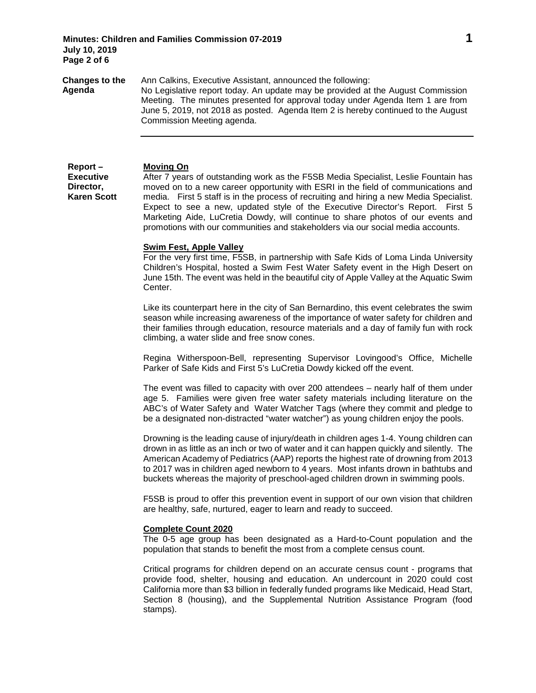**Minutes: Children and Families Commission 07-2019 1 July 10, 2019 Page 2 of 6**

**Changes to the Agenda** Ann Calkins, Executive Assistant, announced the following: No Legislative report today. An update may be provided at the August Commission Meeting. The minutes presented for approval today under Agenda Item 1 are from June 5, 2019, not 2018 as posted. Agenda Item 2 is hereby continued to the August Commission Meeting agenda.

**Report – Executive Director, Karen Scott Moving On** After 7 years of outstanding work as the F5SB Media Specialist, Leslie Fountain has moved on to a new career opportunity with ESRI in the field of communications and media. First 5 staff is in the process of recruiting and hiring a new Media Specialist. Expect to see a new, updated style of the Executive Director's Report. First 5 Marketing Aide, LuCretia Dowdy, will continue to share photos of our events and promotions with our communities and stakeholders via our social media accounts.

## **Swim Fest, Apple Valley**

For the very first time, F5SB, in partnership with Safe Kids of Loma Linda University Children's Hospital, hosted a Swim Fest Water Safety event in the High Desert on June 15th. The event was held in the beautiful city of Apple Valley at the Aquatic Swim Center.

Like its counterpart here in the city of San Bernardino, this event celebrates the swim season while increasing awareness of the importance of water safety for children and their families through education, resource materials and a day of family fun with rock climbing, a water slide and free snow cones.

Regina Witherspoon-Bell, representing Supervisor Lovingood's Office, Michelle Parker of Safe Kids and First 5's LuCretia Dowdy kicked off the event.

The event was filled to capacity with over 200 attendees – nearly half of them under age 5. Families were given free water safety materials including literature on the ABC's of Water Safety and Water Watcher Tags (where they commit and pledge to be a designated non-distracted "water watcher") as young children enjoy the pools.

Drowning is the leading cause of injury/death in children ages 1-4. Young children can drown in as little as an inch or two of water and it can happen quickly and silently. The American Academy of Pediatrics (AAP) reports the highest rate of drowning from 2013 to 2017 was in children aged newborn to 4 years. Most infants drown in bathtubs and buckets whereas the majority of preschool-aged children drown in swimming pools.

F5SB is proud to offer this prevention event in support of our own vision that children are healthy, safe, nurtured, eager to learn and ready to succeed.

## **Complete Count 2020**

The 0-5 age group has been designated as a Hard-to-Count population and the population that stands to benefit the most from a complete census count.

Critical programs for children depend on an accurate census count - programs that provide food, shelter, housing and education. An undercount in 2020 could cost California more than \$3 billion in federally funded programs like Medicaid, Head Start, Section 8 (housing), and the Supplemental Nutrition Assistance Program (food stamps).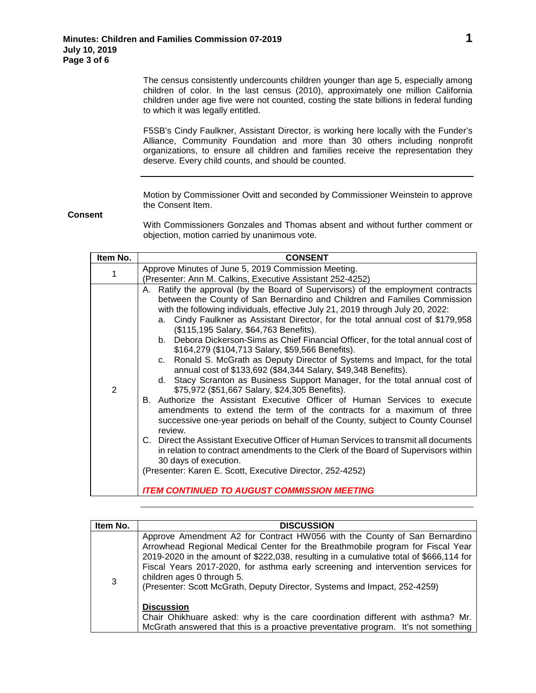The census consistently undercounts children younger than age 5, especially among children of color. In the last census (2010), approximately one million California children under age five were not counted, costing the state billions in federal funding to which it was legally entitled.

F5SB's Cindy Faulkner, Assistant Director, is working here locally with the Funder's Alliance, Community Foundation and more than 30 others including nonprofit organizations, to ensure all children and families receive the representation they deserve. Every child counts, and should be counted.

Motion by Commissioner Ovitt and seconded by Commissioner Weinstein to approve the Consent Item.

**Consent**

With Commissioners Gonzales and Thomas absent and without further comment or objection, motion carried by unanimous vote.

| Approve Minutes of June 5, 2019 Commission Meeting.<br>1<br>(Presenter: Ann M. Calkins, Executive Assistant 252-4252)<br>A. Ratify the approval (by the Board of Supervisors) of the employment contracts<br>between the County of San Bernardino and Children and Families Commission<br>with the following individuals, effective July 21, 2019 through July 20, 2022:<br>Cindy Faulkner as Assistant Director, for the total annual cost of \$179,958<br>a.<br>(\$115,195 Salary, \$64,763 Benefits).<br>b. Debora Dickerson-Sims as Chief Financial Officer, for the total annual cost of<br>\$164,279 (\$104,713 Salary, \$59,566 Benefits).<br>c. Ronald S. McGrath as Deputy Director of Systems and Impact, for the total<br>annual cost of \$133,692 (\$84,344 Salary, \$49,348 Benefits).<br>d. Stacy Scranton as Business Support Manager, for the total annual cost of<br>$\overline{2}$<br>\$75,972 (\$51,667 Salary, \$24,305 Benefits).<br>B. Authorize the Assistant Executive Officer of Human Services to execute<br>amendments to extend the term of the contracts for a maximum of three<br>successive one-year periods on behalf of the County, subject to County Counsel<br>review.<br>C. Direct the Assistant Executive Officer of Human Services to transmit all documents<br>in relation to contract amendments to the Clerk of the Board of Supervisors within<br>30 days of execution.<br>(Presenter: Karen E. Scott, Executive Director, 252-4252) |
|--------------------------------------------------------------------------------------------------------------------------------------------------------------------------------------------------------------------------------------------------------------------------------------------------------------------------------------------------------------------------------------------------------------------------------------------------------------------------------------------------------------------------------------------------------------------------------------------------------------------------------------------------------------------------------------------------------------------------------------------------------------------------------------------------------------------------------------------------------------------------------------------------------------------------------------------------------------------------------------------------------------------------------------------------------------------------------------------------------------------------------------------------------------------------------------------------------------------------------------------------------------------------------------------------------------------------------------------------------------------------------------------------------------------------------------------------------------------------------|
|                                                                                                                                                                                                                                                                                                                                                                                                                                                                                                                                                                                                                                                                                                                                                                                                                                                                                                                                                                                                                                                                                                                                                                                                                                                                                                                                                                                                                                                                                |
|                                                                                                                                                                                                                                                                                                                                                                                                                                                                                                                                                                                                                                                                                                                                                                                                                                                                                                                                                                                                                                                                                                                                                                                                                                                                                                                                                                                                                                                                                |
| <b>ITEM CONTINUED TO AUGUST COMMISSION MEETING</b>                                                                                                                                                                                                                                                                                                                                                                                                                                                                                                                                                                                                                                                                                                                                                                                                                                                                                                                                                                                                                                                                                                                                                                                                                                                                                                                                                                                                                             |

| Item No. | <b>DISCUSSION</b>                                                                                                                                                                                                                                                                                                                                                                                                                                    |
|----------|------------------------------------------------------------------------------------------------------------------------------------------------------------------------------------------------------------------------------------------------------------------------------------------------------------------------------------------------------------------------------------------------------------------------------------------------------|
| 3        | Approve Amendment A2 for Contract HW056 with the County of San Bernardino<br>Arrowhead Regional Medical Center for the Breathmobile program for Fiscal Year<br>2019-2020 in the amount of \$222,038, resulting in a cumulative total of \$666,114 for<br>Fiscal Years 2017-2020, for asthma early screening and intervention services for<br>children ages 0 through 5.<br>(Presenter: Scott McGrath, Deputy Director, Systems and Impact, 252-4259) |
|          | <b>Discussion</b><br>Chair Ohikhuare asked: why is the care coordination different with asthma? Mr.<br>McGrath answered that this is a proactive preventative program. It's not something                                                                                                                                                                                                                                                            |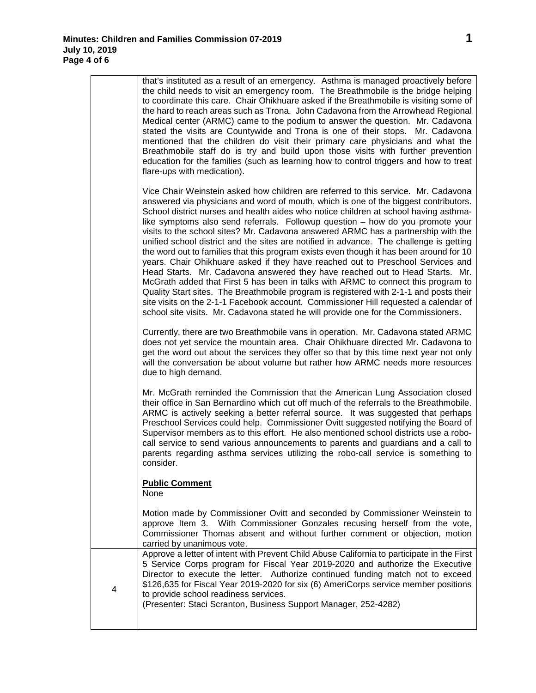|                | that's instituted as a result of an emergency. Asthma is managed proactively before<br>the child needs to visit an emergency room. The Breathmobile is the bridge helping<br>to coordinate this care. Chair Ohikhuare asked if the Breathmobile is visiting some of<br>the hard to reach areas such as Trona. John Cadavona from the Arrowhead Regional<br>Medical center (ARMC) came to the podium to answer the question. Mr. Cadavona<br>stated the visits are Countywide and Trona is one of their stops. Mr. Cadavona<br>mentioned that the children do visit their primary care physicians and what the<br>Breathmobile staff do is try and build upon those visits with further prevention<br>education for the families (such as learning how to control triggers and how to treat<br>flare-ups with medication).                                                                                                                                                                                                                                                                                                                                       |
|----------------|-----------------------------------------------------------------------------------------------------------------------------------------------------------------------------------------------------------------------------------------------------------------------------------------------------------------------------------------------------------------------------------------------------------------------------------------------------------------------------------------------------------------------------------------------------------------------------------------------------------------------------------------------------------------------------------------------------------------------------------------------------------------------------------------------------------------------------------------------------------------------------------------------------------------------------------------------------------------------------------------------------------------------------------------------------------------------------------------------------------------------------------------------------------------|
|                | Vice Chair Weinstein asked how children are referred to this service. Mr. Cadavona<br>answered via physicians and word of mouth, which is one of the biggest contributors.<br>School district nurses and health aides who notice children at school having asthma-<br>like symptoms also send referrals. Followup question - how do you promote your<br>visits to the school sites? Mr. Cadavona answered ARMC has a partnership with the<br>unified school district and the sites are notified in advance. The challenge is getting<br>the word out to families that this program exists even though it has been around for 10<br>years. Chair Ohikhuare asked if they have reached out to Preschool Services and<br>Head Starts. Mr. Cadavona answered they have reached out to Head Starts. Mr.<br>McGrath added that First 5 has been in talks with ARMC to connect this program to<br>Quality Start sites. The Breathmobile program is registered with 2-1-1 and posts their<br>site visits on the 2-1-1 Facebook account. Commissioner Hill requested a calendar of<br>school site visits. Mr. Cadavona stated he will provide one for the Commissioners. |
|                | Currently, there are two Breathmobile vans in operation. Mr. Cadavona stated ARMC<br>does not yet service the mountain area. Chair Ohikhuare directed Mr. Cadavona to<br>get the word out about the services they offer so that by this time next year not only<br>will the conversation be about volume but rather how ARMC needs more resources<br>due to high demand.                                                                                                                                                                                                                                                                                                                                                                                                                                                                                                                                                                                                                                                                                                                                                                                        |
|                | Mr. McGrath reminded the Commission that the American Lung Association closed<br>their office in San Bernardino which cut off much of the referrals to the Breathmobile.<br>ARMC is actively seeking a better referral source. It was suggested that perhaps<br>Preschool Services could help. Commissioner Ovitt suggested notifying the Board of<br>Supervisor members as to this effort. He also mentioned school districts use a robo-<br>call service to send various announcements to parents and guardians and a call to<br>parents regarding asthma services utilizing the robo-call service is something to<br>consider.                                                                                                                                                                                                                                                                                                                                                                                                                                                                                                                               |
|                | <b>Public Comment</b><br>None                                                                                                                                                                                                                                                                                                                                                                                                                                                                                                                                                                                                                                                                                                                                                                                                                                                                                                                                                                                                                                                                                                                                   |
|                | Motion made by Commissioner Ovitt and seconded by Commissioner Weinstein to<br>approve Item 3. With Commissioner Gonzales recusing herself from the vote,<br>Commissioner Thomas absent and without further comment or objection, motion<br>carried by unanimous vote.                                                                                                                                                                                                                                                                                                                                                                                                                                                                                                                                                                                                                                                                                                                                                                                                                                                                                          |
| $\overline{4}$ | Approve a letter of intent with Prevent Child Abuse California to participate in the First<br>5 Service Corps program for Fiscal Year 2019-2020 and authorize the Executive<br>Director to execute the letter. Authorize continued funding match not to exceed<br>\$126,635 for Fiscal Year 2019-2020 for six (6) AmeriCorps service member positions<br>to provide school readiness services.<br>(Presenter: Staci Scranton, Business Support Manager, 252-4282)                                                                                                                                                                                                                                                                                                                                                                                                                                                                                                                                                                                                                                                                                               |
|                |                                                                                                                                                                                                                                                                                                                                                                                                                                                                                                                                                                                                                                                                                                                                                                                                                                                                                                                                                                                                                                                                                                                                                                 |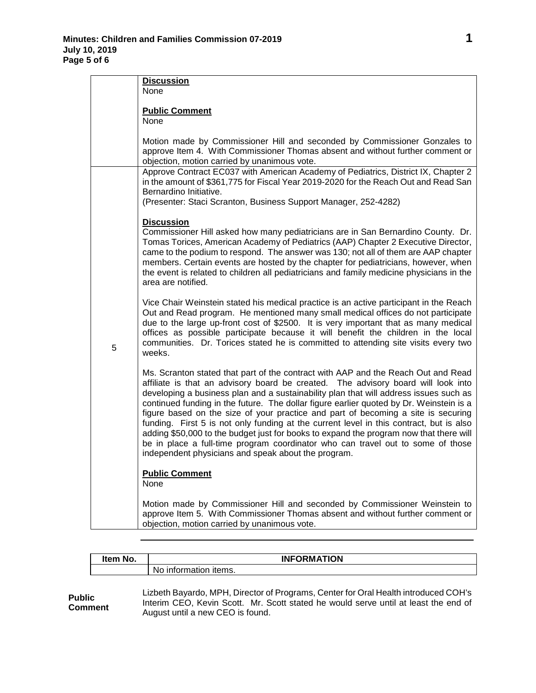|   | <b>Discussion</b><br><b>None</b>                                                                                                                                                                                                                                                                                                                                                                                                                                                                                                                                                                                                                                                                                                                                               |
|---|--------------------------------------------------------------------------------------------------------------------------------------------------------------------------------------------------------------------------------------------------------------------------------------------------------------------------------------------------------------------------------------------------------------------------------------------------------------------------------------------------------------------------------------------------------------------------------------------------------------------------------------------------------------------------------------------------------------------------------------------------------------------------------|
|   | <b>Public Comment</b>                                                                                                                                                                                                                                                                                                                                                                                                                                                                                                                                                                                                                                                                                                                                                          |
|   | <b>None</b><br>Motion made by Commissioner Hill and seconded by Commissioner Gonzales to<br>approve Item 4. With Commissioner Thomas absent and without further comment or<br>objection, motion carried by unanimous vote.<br>Approve Contract EC037 with American Academy of Pediatrics, District IX, Chapter 2                                                                                                                                                                                                                                                                                                                                                                                                                                                               |
|   | in the amount of \$361,775 for Fiscal Year 2019-2020 for the Reach Out and Read San<br>Bernardino Initiative.<br>(Presenter: Staci Scranton, Business Support Manager, 252-4282)                                                                                                                                                                                                                                                                                                                                                                                                                                                                                                                                                                                               |
|   | <b>Discussion</b><br>Commissioner Hill asked how many pediatricians are in San Bernardino County. Dr.<br>Tomas Torices, American Academy of Pediatrics (AAP) Chapter 2 Executive Director,<br>came to the podium to respond. The answer was 130; not all of them are AAP chapter<br>members. Certain events are hosted by the chapter for pediatricians, however, when<br>the event is related to children all pediatricians and family medicine physicians in the<br>area are notified.                                                                                                                                                                                                                                                                                       |
| 5 | Vice Chair Weinstein stated his medical practice is an active participant in the Reach<br>Out and Read program. He mentioned many small medical offices do not participate<br>due to the large up-front cost of \$2500. It is very important that as many medical<br>offices as possible participate because it will benefit the children in the local<br>communities. Dr. Torices stated he is committed to attending site visits every two<br>weeks.                                                                                                                                                                                                                                                                                                                         |
|   | Ms. Scranton stated that part of the contract with AAP and the Reach Out and Read<br>affiliate is that an advisory board be created. The advisory board will look into<br>developing a business plan and a sustainability plan that will address issues such as<br>continued funding in the future. The dollar figure earlier quoted by Dr. Weinstein is a<br>figure based on the size of your practice and part of becoming a site is securing<br>funding. First 5 is not only funding at the current level in this contract, but is also<br>adding \$50,000 to the budget just for books to expand the program now that there will<br>be in place a full-time program coordinator who can travel out to some of those<br>independent physicians and speak about the program. |
|   | <b>Public Comment</b><br>None                                                                                                                                                                                                                                                                                                                                                                                                                                                                                                                                                                                                                                                                                                                                                  |
|   | Motion made by Commissioner Hill and seconded by Commissioner Weinstein to<br>approve Item 5. With Commissioner Thomas absent and without further comment or<br>objection, motion carried by unanimous vote.                                                                                                                                                                                                                                                                                                                                                                                                                                                                                                                                                                   |

| Item No. | <b>INFORMATION</b>       |  |
|----------|--------------------------|--|
|          | Nο<br>untormation items. |  |
|          |                          |  |

**Public Comment** Lizbeth Bayardo, MPH, Director of Programs, Center for Oral Health introduced COH's Interim CEO, Kevin Scott. Mr. Scott stated he would serve until at least the end of August until a new CEO is found.